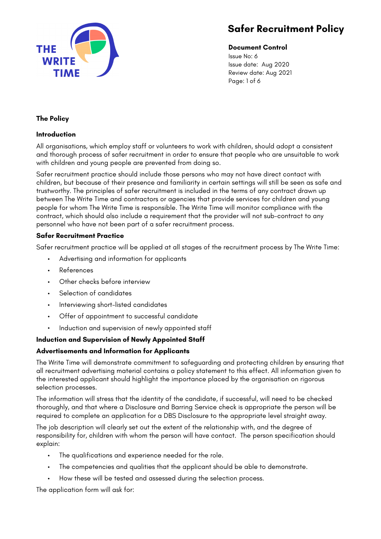

# **Document Control**

Issue No: 6 Issue date: Aug 2020 Review date: Aug 2021 Page: 1 of 6

# **The Policy**

## **Introduction**

All organisations, which employ staff or volunteers to work with children, should adopt a consistent and thorough process of safer recruitment in order to ensure that people who are unsuitable to work with children and young people are prevented from doing so.

Safer recruitment practice should include those persons who may not have direct contact with children, but because of their presence and familiarity in certain settings will still be seen as safe and trustworthy. The principles of safer recruitment is included in the terms of any contract drawn up between The Write Time and contractors or agencies that provide services for children and young people for whom The Write Time is responsible. The Write Time will monitor compliance with the contract, which should also include a requirement that the provider will not sub-contract to any personnel who have not been part of a safer recruitment process.

# **Safer Recruitment Practice**

Safer recruitment practice will be applied at all stages of the recruitment process by The Write Time:

- Advertising and information for applicants
- References
- Other checks before interview
- Selection of candidates
- Interviewing short-listed candidates
- Offer of appointment to successful candidate
- Induction and supervision of newly appointed staff

# **Induction and Supervision of Newly Appointed Staff**

# **Advertisements and Information for Applicants**

The Write Time will demonstrate commitment to safeguarding and protecting children by ensuring that all recruitment advertising material contains a policy statement to this effect. All information given to the interested applicant should highlight the importance placed by the organisation on rigorous selection processes.

The information will stress that the identity of the candidate, if successful, will need to be checked thoroughly, and that where a Disclosure and Barring Service check is appropriate the person will be required to complete an application for a DBS Disclosure to the appropriate level straight away.

The job description will clearly set out the extent of the relationship with, and the degree of responsibility for, children with whom the person will have contact. The person specification should explain:

- The qualifications and experience needed for the role.
- The competencies and qualities that the applicant should be able to demonstrate.
- How these will be tested and assessed during the selection process.

The application form will ask for: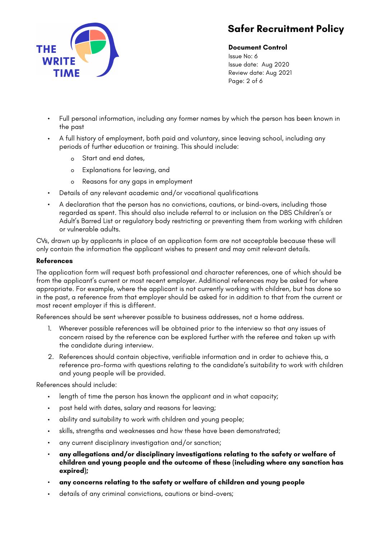

**Document Control** Issue No: 6

Issue date: Aug 2020 Review date: Aug 2021 Page: 2 of 6

- Full personal information, including any former names by which the person has been known in the past
- A full history of employment, both paid and voluntary, since leaving school, including any periods of further education or training. This should include:
	- o Start and end dates,
	- o Explanations for leaving, and
	- o Reasons for any gaps in employment
- Details of any relevant academic and/or vocational qualifications
- A declaration that the person has no convictions, cautions, or bind-overs, including those regarded as spent. This should also include referral to or inclusion on the DBS Children's or Adult's Barred List or regulatory body restricting or preventing them from working with children or vulnerable adults.

CVs, drawn up by applicants in place of an application form are not acceptable because these will only contain the information the applicant wishes to present and may omit relevant details.

## **References**

The application form will request both professional and character references, one of which should be from the applicant's current or most recent employer. Additional references may be asked for where appropriate. For example, where the applicant is not currently working with children, but has done so in the past, a reference from that employer should be asked for in addition to that from the current or most recent employer if this is different.

References should be sent wherever possible to business addresses, not a home address.

- 1. Wherever possible references will be obtained prior to the interview so that any issues of concern raised by the reference can be explored further with the referee and taken up with the candidate during interview.
- 2. References should contain objective, verifiable information and in order to achieve this, a reference pro-forma with questions relating to the candidate's suitability to work with children and young people will be provided.

References should include:

- length of time the person has known the applicant and in what capacity;
- post held with dates, salary and reasons for leaving;
- ability and suitability to work with children and young people;
- skills, strengths and weaknesses and how these have been demonstrated;
- any current disciplinary investigation and/or sanction;
- **any allegations and/or disciplinary investigations relating to the safety or welfare of children and young people and the outcome of these (including where any sanction has expired);**
- **any concerns relating to the safety or welfare of children and young people**
- details of any criminal convictions, cautions or bind-overs;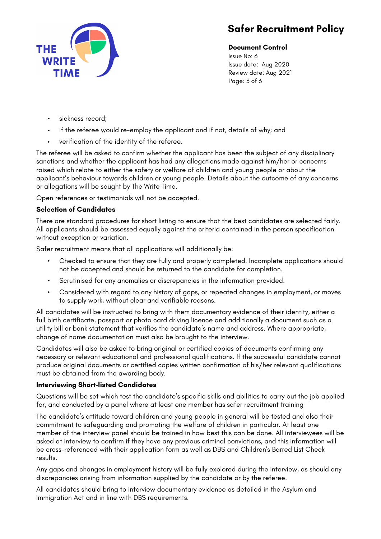

**Document Control**

Issue No: 6 Issue date: Aug 2020 Review date: Aug 2021 Page: 3 of 6

- sickness record:
- if the referee would re-employ the applicant and if not, details of why; and
- verification of the identity of the referee.

The referee will be asked to confirm whether the applicant has been the subject of any disciplinary sanctions and whether the applicant has had any allegations made against him/her or concerns raised which relate to either the safety or welfare of children and young people or about the applicant's behaviour towards children or young people. Details about the outcome of any concerns or allegations will be sought by The Write Time.

Open references or testimonials will not be accepted.

# **Selection of Candidates**

There are standard procedures for short listing to ensure that the best candidates are selected fairly. All applicants should be assessed equally against the criteria contained in the person specification without exception or variation.

Safer recruitment means that all applications will additionally be:

- Checked to ensure that they are fully and properly completed. Incomplete applications should not be accepted and should be returned to the candidate for completion.
- Scrutinised for any anomalies or discrepancies in the information provided.
- Considered with regard to any history of gaps, or repeated changes in employment, or moves to supply work, without clear and verifiable reasons.

All candidates will be instructed to bring with them documentary evidence of their identity, either a full birth certificate, passport or photo card driving licence and additionally a document such as a utility bill or bank statement that verifies the candidate's name and address. Where appropriate, change of name documentation must also be brought to the interview.

Candidates will also be asked to bring original or certified copies of documents confirming any necessary or relevant educational and professional qualifications. If the successful candidate cannot produce original documents or certified copies written confirmation of his/her relevant qualifications must be obtained from the awarding body.

# **Interviewing Short-listed Candidates**

Questions will be set which test the candidate's specific skills and abilities to carry out the job applied for, and conducted by a panel where at least one member has safer recruitment training

The candidate's attitude toward children and young people in general will be tested and also their commitment to safeguarding and promoting the welfare of children in particular. At least one member of the interview panel should be trained in how best this can be done. All interviewees will be asked at interview to confirm if they have any previous criminal convictions, and this information will be cross-referenced with their application form as well as DBS and Children's Barred List Check results.

Any gaps and changes in employment history will be fully explored during the interview, as should any discrepancies arising from information supplied by the candidate or by the referee.

All candidates should bring to interview documentary evidence as detailed in the Asylum and Immigration Act and in line with DBS requirements.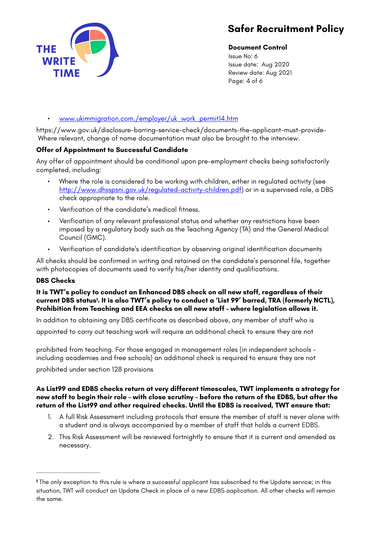# THE **WRIT**

# **Safer Recruitment Policy**

# **Document Control**

Issue No: 6 Issue date: Aug 2020 Review date: Aug 2021 Page: 4 of 6

# • [www.ukimmigration.com./employer/uk\\_work\\_permit14.htm](http://www.ukimmigration.com./employer/uk_work_permit14.htm)

https://www.gov.uk/disclosure-barring-service-check/documents-the-applicant-must-provide-Where relevant, change of name documentation must also be brought to the interview.

# **Offer of Appointment to Successful Candidate**

Any offer of appointment should be conditional upon pre-employment checks being satisfactorily completed, including:

- Where the role is considered to be working with children, either in regulated activity (see <http://www.dhsspsni.gov.uk/regulated-activity-children.pdf>) or in a supervised role, a DBS check appropriate to the role.
- Verification of the candidate's medical fitness.
- Verification of any relevant professional status and whether any restrictions have been imposed by a regulatory body such as the Teaching Agency (TA) and the General Medical Council (GMC).
- Verification of candidate's identification by observing original identification documents

All checks should be confirmed in writing and retained on the candidate's personnel file, together with photocopies of documents used to verify his/her identity and qualifications.

# **DBS Checks**

# <span id="page-3-1"></span>**It is TWT's policy to conduct an Enhanced DBS check on all new staff, regardless of their**  current DBS status<sup>1</sup>[.](#page-3-0) It is also TWT's policy to conduct a 'List 99' barred, TRA (formerly NCTL), **Prohibition from Teaching and EEA checks on all new staff – where legislation allows it.**

In addition to obtaining any DBS certificate as described above, any member of staff who is appointed to carry out teaching work will require an additional check to ensure they are not

prohibited from teaching. For those engaged in management roles (in independent schools including academies and free schools) an additional check is required to ensure they are not

prohibited under section 128 provisions

#### **As List99 and EDBS checks return at very different timescales, TWT implements a strategy for new staff to begin their role – with close scrutiny – before the return of the EDBS, but after the return of the List99 and other required checks. Until the EDBS is received, TWT ensure that:**

- 1. A full Risk Assessment including protocols that ensure the member of staff is never alone with a student and is always accompanied by a member of staff that holds a current EDBS.
- 2. This Risk Assessment will be reviewed fortnightly to ensure that it is current and amended as necessary.

<span id="page-3-0"></span>The only exception to this rule is where a successful applicant has subscribed to the Update service; in this **[1](#page-3-1)** situation, TWT will conduct an Update Check in place of a new EDBS aaplication. All other checks will remain the same.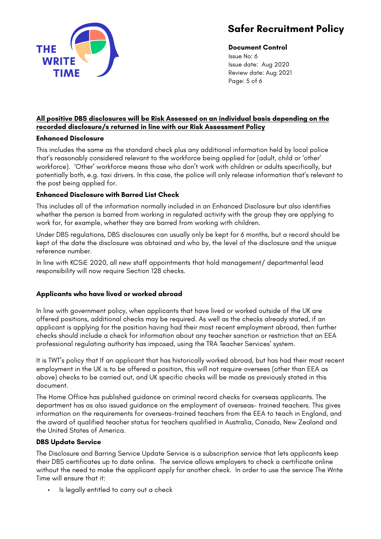

# **Document Control**

Issue No: 6 Issue date: Aug 2020 Review date: Aug 2021 Page: 5 of 6

# **All positive DBS disclosures will be Risk Assessed on an individual basis depending on the recorded disclosure/s returned in line with our Risk Assessment Policy**

## **Enhanced Disclosure**

This includes the same as the standard check plus any additional information held by local police that's reasonably considered relevant to the workforce being applied for (adult, child or 'other' workforce). 'Other' workforce means those who don't work with children or adults specifically, but potentially both, e.g. taxi drivers. In this case, the police will only release information that's relevant to the post being applied for.

# **Enhanced Disclosure with Barred List Check**

This includes all of the information normally included in an Enhanced Disclosure but also identifies whether the person is barred from working in regulated activity with the group they are applying to work for, for example, whether they are barred from working with children.

Under DBS regulations, DBS disclosures can usually only be kept for 6 months, but a record should be kept of the date the disclosure was obtained and who by, the level of the disclosure and the unique reference number.

In line with KCSiE 2020, all new staff appointments that hold management/ departmental lead responsibility will now require Section 128 checks.

# **Applicants who have lived or worked abroad**

In line with government policy, when applicants that have lived or worked outside of the UK are offered positions, additional checks may be required. As well as the checks already stated, if an applicant is applying for the position having had their most recent employment abroad, then further checks should include a check for information about any teacher sanction or restriction that an EEA professional regulating authority has imposed, using the TRA Teacher Services' system.

It is TWT's policy that If an applicant that has historically worked abroad, but has had their most recent employment in the UK is to be offered a position, this will not require oversees (other than EEA as above) checks to be carried out, and UK specific checks will be made as previously stated in this document.

The Home Office has published guidance on criminal record checks for overseas applicants. The department has as also issued guidance on the employment of overseas- trained teachers. This gives information on the requirements for overseas-trained teachers from the EEA to teach in England, and the award of qualified teacher status for teachers qualified in Australia, Canada, New Zealand and the United States of America.

# **DBS Update Service**

The Disclosure and Barring Service Update Service is a subscription service that lets applicants keep their DBS certificates up to date online. The service allows employers to check a certificate online without the need to make the applicant apply for another check. In order to use the service The Write Time will ensure that it:

Is legally entitled to carry out a check